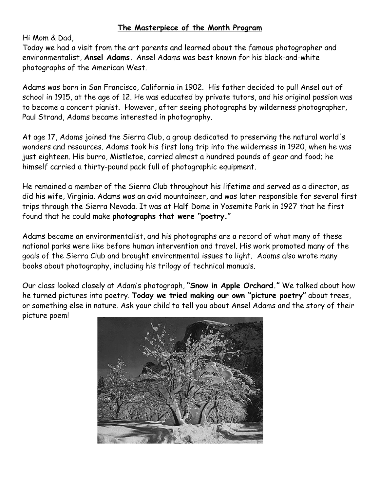## **The Masterpiece of the Month Program**

Hi Mom & Dad,

Today we had a visit from the art parents and learned about the famous photographer and environmentalist, **Ansel Adams.** Ansel Adams was best known for his black-and-white photographs of the American West.

Adams was born in San Francisco, California in 1902. His father decided to pull Ansel out of school in 1915, at the age of 12. He was educated by private tutors, and his original passion was to become a concert pianist. However, after seeing photographs by wilderness photographer, Paul Strand, Adams became interested in photography.

At age 17, Adams joined the Sierra Club, a group dedicated to preserving the natural world's wonders and resources. Adams took his first long trip into the wilderness in 1920, when he was just eighteen. His burro, Mistletoe, carried almost a hundred pounds of gear and food; he himself carried a thirty-pound pack full of photographic equipment.

He remained a member of the Sierra Club throughout his lifetime and served as a director, as did his wife, Virginia. Adams was an avid mountaineer, and was later responsible for several first trips through the Sierra Nevada. It was at Half Dome in Yosemite Park in 1927 that he first found that he could make **photographs that were "poetry."** 

Adams became an environmentalist, and his photographs are a record of what many of these national parks were like before human intervention and travel. His work promoted many of the goals of the Sierra Club and brought environmental issues to light. Adams also wrote many books about photography, including his trilogy of technical manuals.

Our class looked closely at Adam's photograph, **"Snow in Apple Orchard."** We talked about how he turned pictures into poetry. **Today we tried making our own "picture poetry"** about trees, or something else in nature. Ask your child to tell you about Ansel Adams and the story of their picture poem!

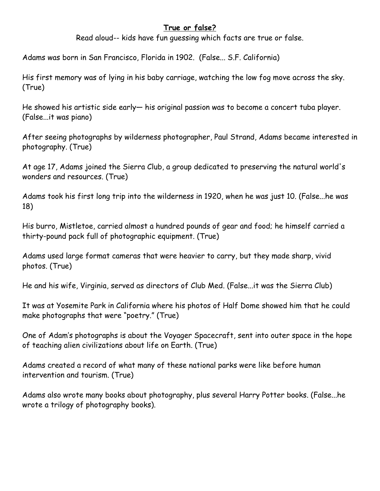## **True or false?**

Read aloud-- kids have fun guessing which facts are true or false.

Adams was born in San Francisco, Florida in 1902. (False... S.F. California)

His first memory was of lying in his baby carriage, watching the low fog move across the sky. (True)

He showed his artistic side early— his original passion was to become a concert tuba player. (False...it was piano)

After seeing photographs by wilderness photographer, Paul Strand, Adams became interested in photography. (True)

At age 17, Adams joined the Sierra Club, a group dedicated to preserving the natural world's wonders and resources. (True)

Adams took his first long trip into the wilderness in 1920, when he was just 10. (False...he was 18)

His burro, Mistletoe, carried almost a hundred pounds of gear and food; he himself carried a thirty-pound pack full of photographic equipment. (True)

Adams used large format cameras that were heavier to carry, but they made sharp, vivid photos. (True)

He and his wife, Virginia, served as directors of Club Med. (False...it was the Sierra Club)

It was at Yosemite Park in California where his photos of Half Dome showed him that he could make photographs that were "poetry." (True)

One of Adam's photographs is about the Voyager Spacecraft, sent into outer space in the hope of teaching alien civilizations about life on Earth. (True)

Adams created a record of what many of these national parks were like before human intervention and tourism. (True)

Adams also wrote many books about photography, plus several Harry Potter books. (False...he wrote a trilogy of photography books).